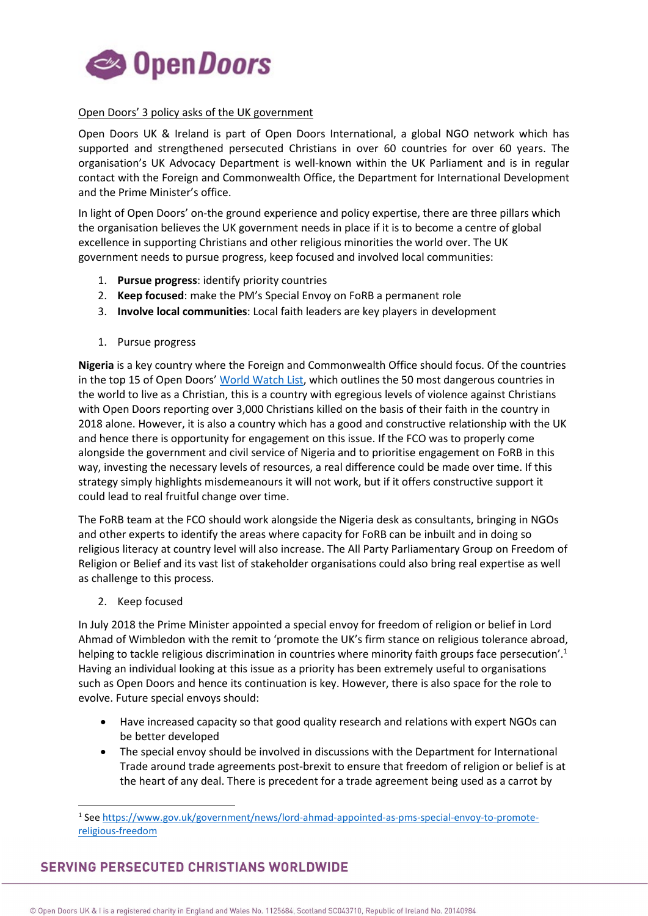

## Open Doors' 3 policy asks of the UK government

Open Doors UK & Ireland is part of Open Doors International, a global NGO network which has supported and strengthened persecuted Christians in over 60 countries for over 60 years. The organisation's UK Advocacy Department is well-known within the UK Parliament and is in regular contact with the Foreign and Commonwealth Office, the Department for International Development and the Prime Minister's office.

In light of Open Doors' on-the ground experience and policy expertise, there are three pillars which the organisation believes the UK government needs in place if it is to become a centre of global excellence in supporting Christians and other religious minorities the world over. The UK government needs to pursue progress, keep focused and involved local communities:

- 1. **Pursue progress**: identify priority countries
- 2. **Keep focused**: make the PM's Special Envoy on FoRB a permanent role
- 3. **Involve local communities**: Local faith leaders are key players in development
- 1. Pursue progress

**Nigeria** is a key country where the Foreign and Commonwealth Office should focus. Of the countries in the top 15 of Open Doors' [World Watch List,](https://www.opendoorsuk.org/persecution/resources/wwl-advocacy-report-2019.pdf) which outlines the 50 most dangerous countries in the world to live as a Christian, this is a country with egregious levels of violence against Christians with Open Doors reporting over 3,000 Christians killed on the basis of their faith in the country in 2018 alone. However, it is also a country which has a good and constructive relationship with the UK and hence there is opportunity for engagement on this issue. If the FCO was to properly come alongside the government and civil service of Nigeria and to prioritise engagement on FoRB in this way, investing the necessary levels of resources, a real difference could be made over time. If this strategy simply highlights misdemeanours it will not work, but if it offers constructive support it could lead to real fruitful change over time.

The FoRB team at the FCO should work alongside the Nigeria desk as consultants, bringing in NGOs and other experts to identify the areas where capacity for FoRB can be inbuilt and in doing so religious literacy at country level will also increase. The All Party Parliamentary Group on Freedom of Religion or Belief and its vast list of stakeholder organisations could also bring real expertise as well as challenge to this process.

2. Keep focused

In July 2018 the Prime Minister appointed a special envoy for freedom of religion or belief in Lord Ahmad of Wimbledon with the remit to 'promote the UK's firm stance on religious tolerance abroad, helping to tackle religious discrimination in countries where minority faith groups face persecution'.<sup>1</sup> Having an individual looking at this issue as a priority has been extremely useful to organisations such as Open Doors and hence its continuation is key. However, there is also space for the role to evolve. Future special envoys should:

- Have increased capacity so that good quality research and relations with expert NGOs can be better developed
- The special envoy should be involved in discussions with the Department for International Trade around trade agreements post-brexit to ensure that freedom of religion or belief is at the heart of any deal. There is precedent for a trade agreement being used as a carrot by

## **SERVING PERSECUTED CHRISTIANS WORLDWIDE**

 <sup>1</sup> See [https://www.gov.uk/government/news/lord-ahmad-appointed-as-pms-special-envoy-to-promote](https://www.gov.uk/government/news/lord-ahmad-appointed-as-pms-special-envoy-to-promote-religious-freedom)[religious-freedom](https://www.gov.uk/government/news/lord-ahmad-appointed-as-pms-special-envoy-to-promote-religious-freedom)